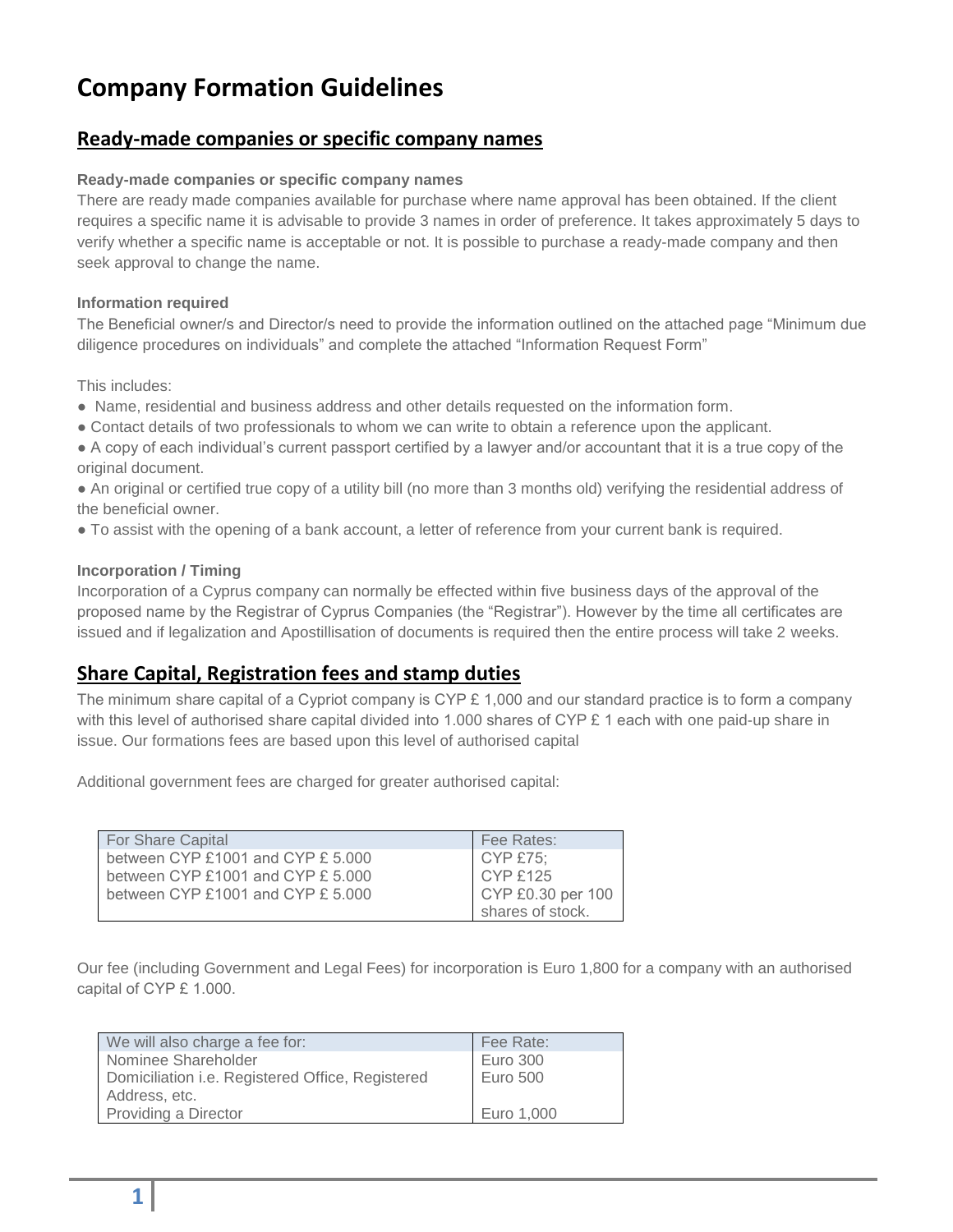# **Company Formation Guidelines**

### **Ready-made companies or specific company names**

#### **Ready-made companies or specific company names**

There are ready made companies available for purchase where name approval has been obtained. If the client requires a specific name it is advisable to provide 3 names in order of preference. It takes approximately 5 days to verify whether a specific name is acceptable or not. It is possible to purchase a ready-made company and then seek approval to change the name.

#### **Information required**

The Beneficial owner/s and Director/s need to provide the information outlined on the attached page "Minimum due diligence procedures on individuals" and complete the attached "Information Request Form"

This includes:

- Name, residential and business address and other details requested on the information form.
- Contact details of two professionals to whom we can write to obtain a reference upon the applicant.
- A copy of each individual's current passport certified by a lawyer and/or accountant that it is a true copy of the original document.
- An original or certified true copy of a utility bill (no more than 3 months old) verifying the residential address of the beneficial owner.
- To assist with the opening of a bank account, a letter of reference from your current bank is required.

#### **Incorporation / Timing**

Incorporation of a Cyprus company can normally be effected within five business days of the approval of the proposed name by the Registrar of Cyprus Companies (the "Registrar"). However by the time all certificates are issued and if legalization and Apostillisation of documents is required then the entire process will take 2 weeks.

### **Share Capital, Registration fees and stamp duties**

The minimum share capital of a Cypriot company is CYP  $E$  1,000 and our standard practice is to form a company with this level of authorised share capital divided into 1.000 shares of CYP £ 1 each with one paid-up share in issue. Our formations fees are based upon this level of authorised capital

Additional government fees are charged for greater authorised capital:

| For Share Capital                    | Fee Rates:        |
|--------------------------------------|-------------------|
| between CYP £1001 and CYP $£ 5.000$  | CYP £75;          |
| between CYP $£1001$ and CYP $£5.000$ | <b>CYP £125</b>   |
| between CYP $£1001$ and CYP $£5.000$ | CYP £0.30 per 100 |
|                                      | shares of stock.  |

Our fee (including Government and Legal Fees) for incorporation is Euro 1,800 for a company with an authorised capital of CYP £ 1.000.

| We will also charge a fee for:                   | Fee Rate:       |
|--------------------------------------------------|-----------------|
| Nominee Shareholder                              | Euro 300        |
| Domiciliation i.e. Registered Office, Registered | <b>Euro 500</b> |
| Address, etc.                                    |                 |
| Providing a Director                             | Euro 1,000      |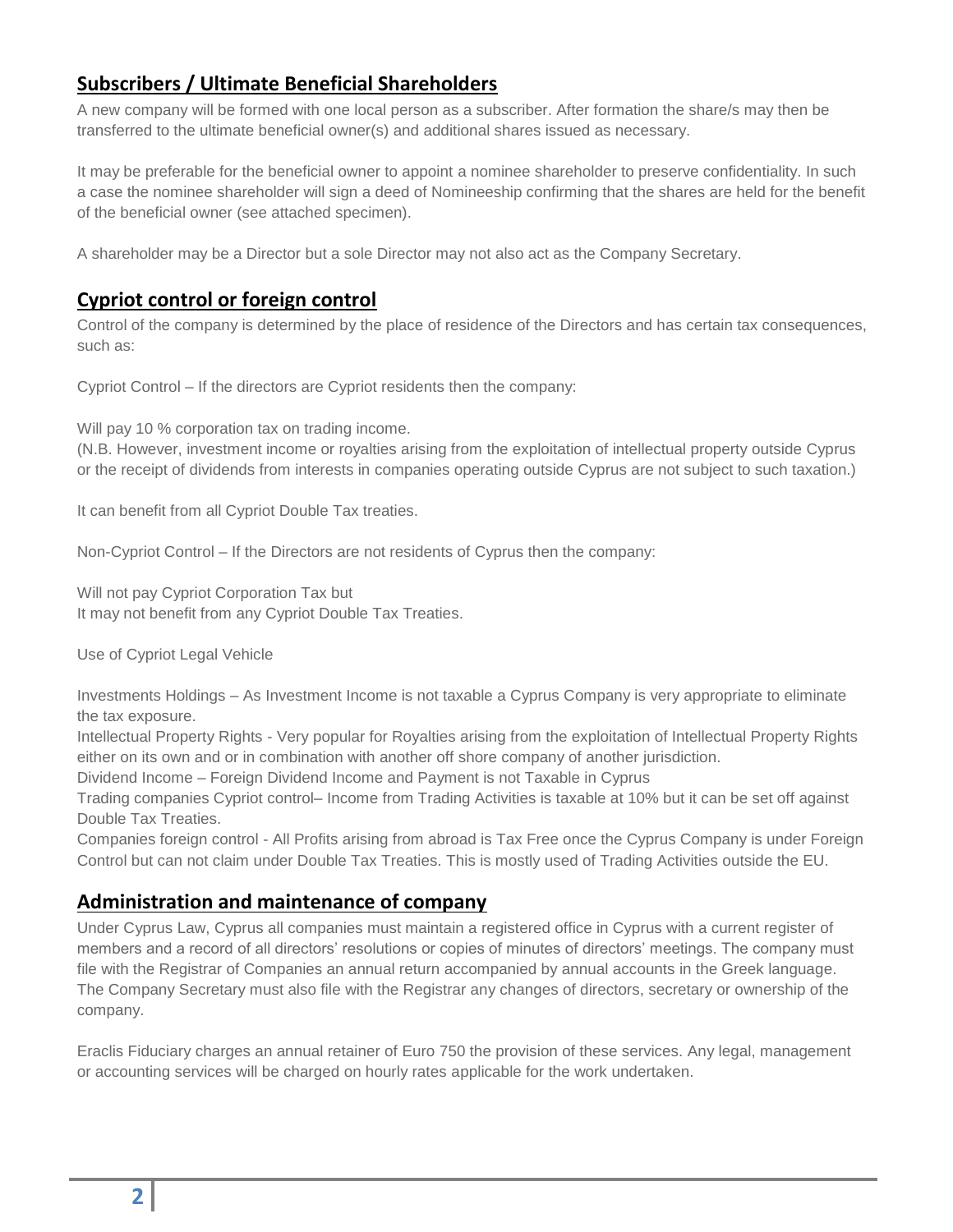# **Subscribers / Ultimate Beneficial Shareholders**

A new company will be formed with one local person as a subscriber. After formation the share/s may then be transferred to the ultimate beneficial owner(s) and additional shares issued as necessary.

It may be preferable for the beneficial owner to appoint a nominee shareholder to preserve confidentiality. In such a case the nominee shareholder will sign a deed of Nomineeship confirming that the shares are held for the benefit of the beneficial owner (see attached specimen).

A shareholder may be a Director but a sole Director may not also act as the Company Secretary.

## **Cypriot control or foreign control**

Control of the company is determined by the place of residence of the Directors and has certain tax consequences, such as:

Cypriot Control – If the directors are Cypriot residents then the company:

Will pay 10 % corporation tax on trading income.

(N.B. However, investment income or royalties arising from the exploitation of intellectual property outside Cyprus or the receipt of dividends from interests in companies operating outside Cyprus are not subject to such taxation.)

It can benefit from all Cypriot Double Tax treaties.

Non-Cypriot Control – If the Directors are not residents of Cyprus then the company:

Will not pay Cypriot Corporation Tax but It may not benefit from any Cypriot Double Tax Treaties.

Use of Cypriot Legal Vehicle

Investments Holdings – As Investment Income is not taxable a Cyprus Company is very appropriate to eliminate the tax exposure.

Intellectual Property Rights - Very popular for Royalties arising from the exploitation of Intellectual Property Rights either on its own and or in combination with another off shore company of another jurisdiction.

Dividend Income – Foreign Dividend Income and Payment is not Taxable in Cyprus

Trading companies Cypriot control– Income from Trading Activities is taxable at 10% but it can be set off against Double Tax Treaties.

Companies foreign control - All Profits arising from abroad is Tax Free once the Cyprus Company is under Foreign Control but can not claim under Double Tax Treaties. This is mostly used of Trading Activities outside the EU.

### **Administration and maintenance of company**

Under Cyprus Law, Cyprus all companies must maintain a registered office in Cyprus with a current register of members and a record of all directors' resolutions or copies of minutes of directors' meetings. The company must file with the Registrar of Companies an annual return accompanied by annual accounts in the Greek language. The Company Secretary must also file with the Registrar any changes of directors, secretary or ownership of the company.

Eraclis Fiduciary charges an annual retainer of Euro 750 the provision of these services. Any legal, management or accounting services will be charged on hourly rates applicable for the work undertaken.